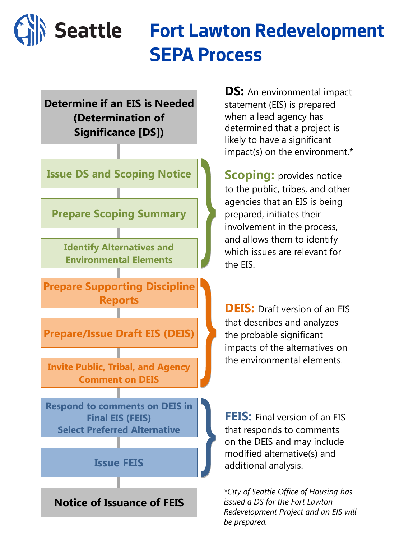

## **Fort Lawton Redevelopment SEPA Process**

**Determine if an EIS is Needed (Determination of Significance [DS])**



**DEIS:** Draft version of an EIS that describes and analyzes the probable significant impacts of the alternatives on the environmental elements.



**FEIS:** Final version of an EIS that responds to comments on the DEIS and may include modified alternative(s) and additional analysis.

**Scoping:** provides notice to the public, tribes, and other agencies that an EIS is being prepared, initiates their involvement in the process, and allows them to identify which issues are relevant for the EIS.

**DS:** An environmental impact statement (EIS) is prepared when a lead agency has determined that a project is likely to have a significant impact(s) on the environment.\*

*\*City of Seattle Office of Housing has issued a DS for the Fort Lawton*